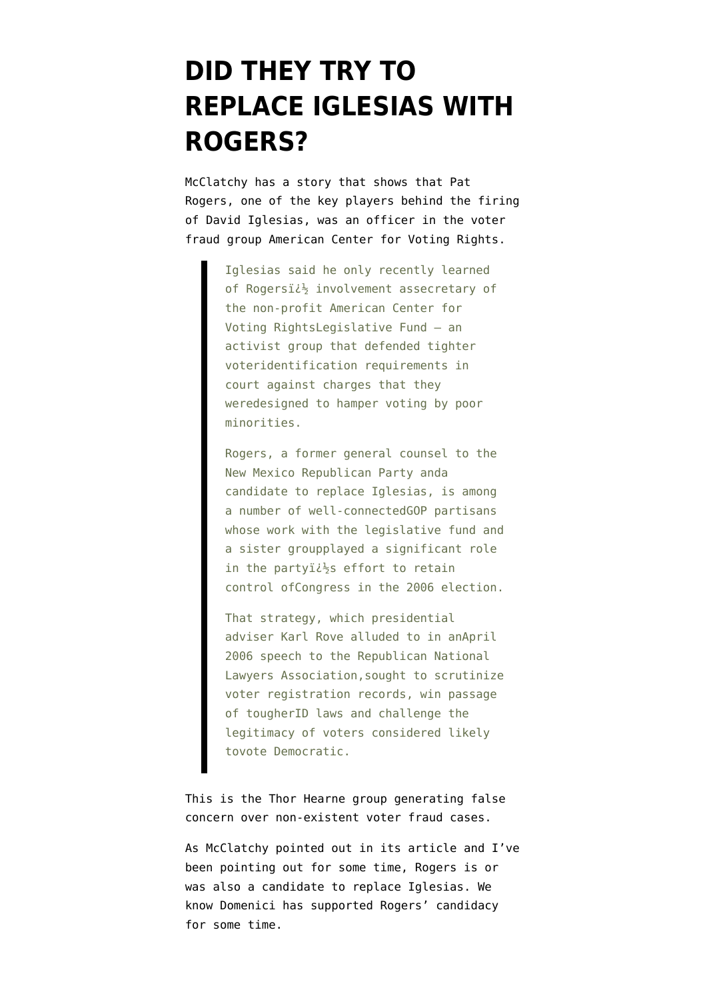## **[DID THEY TRY TO](https://www.emptywheel.net/2007/07/01/did-they-try-to-replace-iglesias-with-rogers/) [REPLACE IGLESIAS WITH](https://www.emptywheel.net/2007/07/01/did-they-try-to-replace-iglesias-with-rogers/) [ROGERS?](https://www.emptywheel.net/2007/07/01/did-they-try-to-replace-iglesias-with-rogers/)**

McClatchy has a story that shows that Pat Rogers, one of the key players behind the firing of David Iglesias, [was an officer](http://www.mcclatchydc.com/homepage/story/17532.html) in the voter fraud group American Center for Voting Rights.

> Iglesias said he only recently learned of Rogersi $i\frac{1}{2}$  involvement assecretary of the non-profit American Center for Voting RightsLegislative Fund – an activist group that defended tighter voteridentification requirements in court against charges that they weredesigned to hamper voting by poor minorities.

Rogers, a former general counsel to the New Mexico Republican Party anda candidate to replace Iglesias, is among a number of well-connectedGOP partisans whose work with the legislative fund and a sister groupplayed a significant role in the partyi $i\frac{1}{2}$ s effort to retain control ofCongress in the 2006 election.

That strategy, which presidential adviser Karl Rove alluded to in anApril 2006 speech to the Republican National Lawyers Association,sought to scrutinize voter registration records, win passage of tougherID laws and challenge the legitimacy of voters considered likely tovote Democratic.

This is the Thor Hearne group generating false concern over non-existent voter fraud cases.

As McClatchy pointed out in its article and I've been [pointing out](http://thenexthurrah.typepad.com/the_next_hurrah/2007/05/and_if_domenici.html) for some time, Rogers is or was also a candidate to replace Iglesias. We know Domenici has supported Rogers' candidacy for some time.